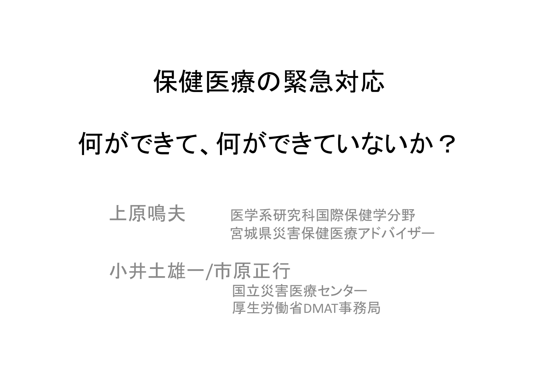### 保健医療の緊急対応

## 何ができていないか?

### 上原鳴夫 医学系研究科国際保健学分野 宮城県災害保健医療アドバイザー

小井土雄一 /市原正行 国立災害医療センター 厚生労働省DMAT事務局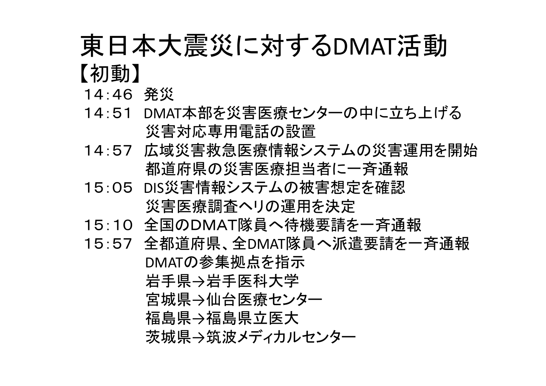## 東日本大震災に対するDMAT活動 【初動】

- 14:46 発災
- 14:51 DMAT本部を災害医療センターの中に立ち上げる 災害対応専用電話の設置
- 14:57 広域災害救急医療情報システムの災害運用を開始 都道府県の災害医療担当者に一斉通報
- 15:05 DIS災害情報システムの被害想定を確認 災害医療調査ヘリの運用を決定
- 15:10 全国のDMAT隊員へ待機要請を一斉通報
- 15:57 全都道府県、全DMAT隊員へ派遣要請を一斉通報 DMATの参集拠点を指示 岩手県→岩手医科大学 宮城県→仙台医療センター 福島県→福島県立医大 茨城県→筑波メディカルセンター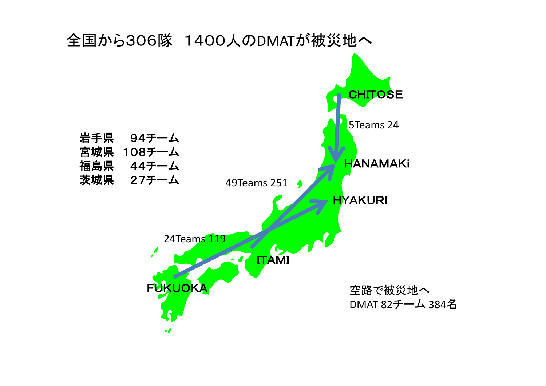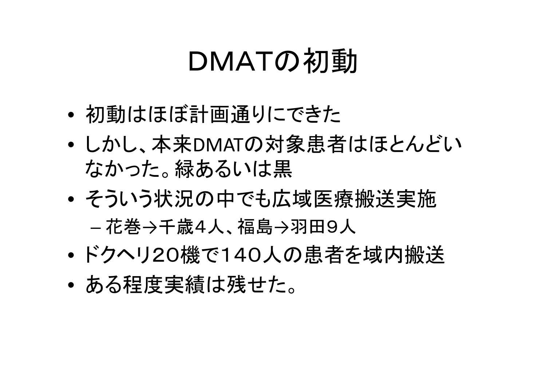# DMATの初動

- •初動はほぼ計画通りにできた
- $\bullet$  しかし、本来DMATの対象患者はほとんどい なかった。緑あるいは黒
- $\bullet$  そういう状況の中でも広域医療搬送実施 –― 花巻→千歳4人、福島→羽田9人
- $\bullet$ ドクヘリ20機で140人の患者を域内搬送
- $\bullet$ ある程度実績は残せた。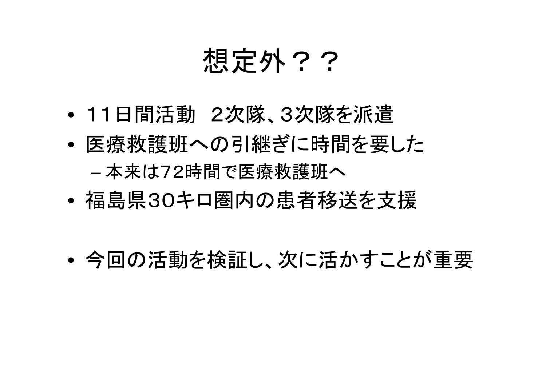# 想定外??

- •11日間活動 2次隊、3次隊を派遣
- $\bullet$  医療救護班への引継ぎに時間を要した 本来は72時間で医療救護班へ
- $\bullet$ 福島県30キロ圏内の患者移送を支援
- $\bullet$ 今回の活動を検証し、次に活かすことが重要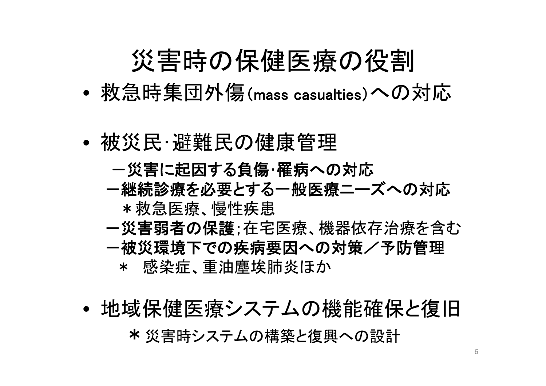## 災害時の保健医療の役割

- •救急時集団外傷(mass casualties)への対応
- • 被災民・避難民の健康管理
	- ー災害に起因する負傷・罹病への対応
	- -継続診療を必要とする一般医療ニーズへの対応 \*救急医療、慢性疾患
	- ー災害弱者の保護;在宅医療、機器依存治療を含む ー被災環境下での疾病要因への対策/予防管理  $\star$ 感染症、重油塵埃肺炎ほか
- • 地域保健医療システムの機能確保と復旧 \*災害時システムの構築と復興への設計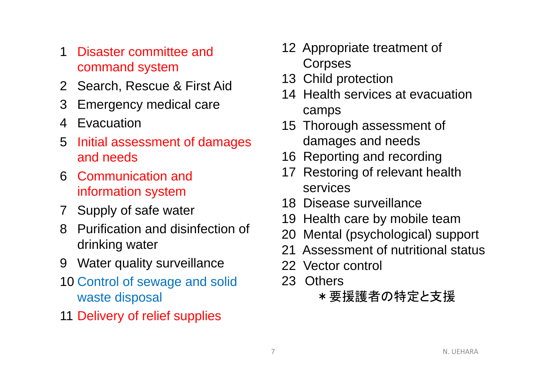- 1 Disaster committee and command system
- 2 Search, Rescue & First Aid
- 3 Emergency medical care
- 4 Evacuation
- 5 Initial assessment of damages and needs
- 6 Communication and information system
- 7 Supply of safe water
- 8 Purification and disinfection of drinking water
- 9 Water quality surveillance
- 10 Control of sewage and solid waste disposal
- 11 Delivery of relief supplies
- 12 Appropriate treatment of **Corpses**
- 13 Child protection
- 14 Health services at evacuation camps
- 15 Thorough assessment of damages and needs
- 16 Reporting and recording
- 17 Restoring of relevant health services
- 18 Disease surveillance
- 19 Health care by mobile team
- 20 Mental (psychological) support
- 21 Assessment of nutritional status
- 22 Vector control
- 23 Others
	- \*要援護者の特定と支援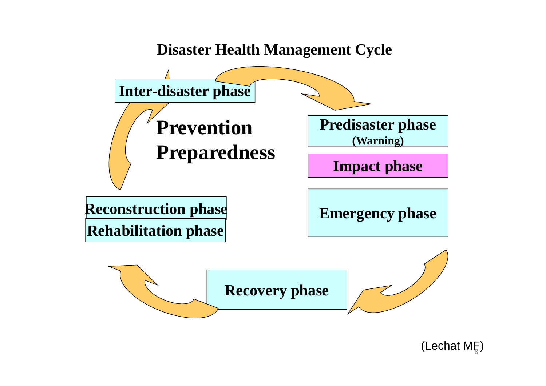#### **Disaster Health Management Cycle**



(Lechat ME)